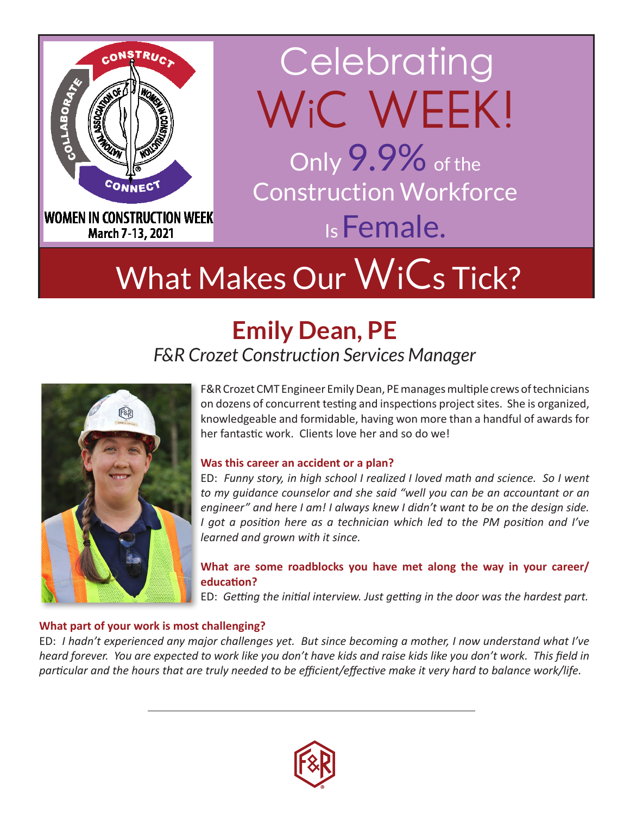

# **Celebrating** W<sub>i</sub>C WEEK! Only 9.9% of the

Construction Workforce Is Female.

# What Makes Our WiCs Tick?

# **Emily Dean, PE** *F&R Crozet Construction Services Manager*



F&R Crozet CMT Engineer Emily Dean, PE manages multiple crews of technicians on dozens of concurrent testing and inspections project sites. She is organized, knowledgeable and formidable, having won more than a handful of awards for her fantastic work. Clients love her and so do we!

### **Was this career an accident or a plan?**

ED: *Funny story, in high school I realized I loved math and science. So I went to my guidance counselor and she said "well you can be an accountant or an engineer" and here I am! I always knew I didn't want to be on the design side. I got a position here as a technician which led to the PM position and I've learned and grown with it since.*

### **What are some roadblocks you have met along the way in your career/ education?**

ED: *Getting the initial interview. Just getting in the door was the hardest part.* 

## **What part of your work is most challenging?**

ED: *I hadn't experienced any major challenges yet. But since becoming a mother, I now understand what I've heard forever. You are expected to work like you don't have kids and raise kids like you don't work. This field in particular and the hours that are truly needed to be efficient/effective make it very hard to balance work/life.*